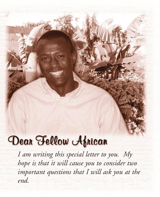## Dean Fellow Aprican

*I am writing this special letter to you. My hope is that it will cause you to consider two important questions that I will ask you at the end.*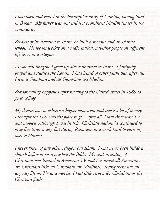*I was born and raised in the beautiful country of Gambia, having lived in Bakau. My father was and still is a prominent Muslim leader in the community.*

*Because of his devotion to Islam, he built a mosque and an Islamic school. He speaks weekly on a radio station, advising people on different life issues and religion.*

*As you can imagine I grew up also committed to Islam. I faithfully prayed and studied the Koran. I had heard of other faiths but, after all, I was a Gambian and all Gambians are Muslim.*

*But something happened after moving to the United States in 1989 to go to college.*

*My dream was to achieve a higher education and make a lot of money. I thought the U.S. was the place to go – after all, I saw American TV and movies! Although I was in this "Christian nation," I continued to pray five times a day, fast during Ramadan and work hard to earn my way to Heaven.*

*I never knew of any other religion but Islam. I had never been inside a church before or even touched the Bible. My understanding of Christians was limited to American TV and I assumed all Americans are Christians (like all Gambians are Muslims). Seeing them live an ungodly life on TV and movies, I had little respect for Christians or the Christian faith.*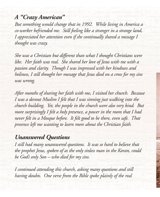## *A "Crazy American"*

*But something would change that in 1992. While living in America a co-worker befriended me. Still feeling like a stranger in a strange land, I appreciated her attention even if she continually shared a message I thought was crazy.*

*She was a Christian but different than what I thought Christians were like. Her faith was real. She shared her love of Jesus with me with a passion and clarity. Though I was impressed with her kindness and holiness, I still thought her message that Jesus died on a cross for my sins was wrong.*

*After months of sharing her faith with me, I visited her church. Because I was a devout Muslim I felt that I was sinning just walking into the church building. Yet, the people in the church were also very kind. But more surprisingly I felt a holy presence, a power in the room that I had never felt in a Mosque before. It felt good to be there, even safe. That presence left me wanting to learn more about the Christian faith.*

## *Unanswered Questions*

*I still had many unanswered questions. It was so hard to believe that the prophet Jesus, spoken of as the only sinless man in the Koran, could be God's only Son – who died for my sins.*

*I continued attending this church, asking many questions and still having doubts. One verse from the Bible spoke plainly of the real*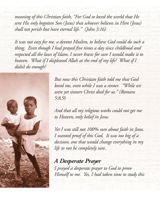*meaning of this Christian faith, "For God so loved the world that He sent His only begotten Son (Jesus) that whoever believes in Him (Jesus) shall not perish but have eternal life." (John 3:16)*

*It was not easy for me, a devout Muslim, to believe God could do such a thing. Even though I had prayed five times a day since childhood and respected all the laws of Islam, I never knew for sure I would make it to heaven. What if I displeased Allah at the end of my life? What if I didn't do enough?*



*But now this Christian faith told me that God loved me, even while I was a sinner. "While we were yet sinners Christ died for us." (Romans 5:8,9)*

*And that all my religious works could not get me to Heaven, only belief in Jesus.* 

*Yet I was still not 100% sure about faith in Jesus. I wanted proof of this God. It was too big of a decision, one that would change everything in my life to not be completely sure.*

*A Desperate Prayer I prayed a desperate prayer to God to prove Himself to me. Yes, I had taken time to study this*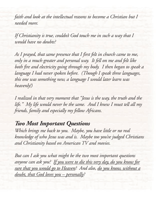*faith and look at the intellectual reasons to become a Christian but I needed more.*

*If Christianity is true, couldn't God touch me in such a way that I would have no doubts?*

*As I prayed, that same presence that I first felt in church came to me, only in a much greater and personal way. It fell on me and felt like both fire and electricity going through my body. I then began to speak a language I had never spoken before. (Though I speak three languages, this one was something new, a language I would later learn was heavenly!)*

*I realized in that very moment that "Jesus is the way, the truth and the life." My life would never be the same. And I knew I must tell all my friends, family and especially my fellow Africans.*

## *Two Most Important Questions*

*Which brings me back to you. Maybe, you have little or no real knowledge of who Jesus was and is. Maybe too you've judged Christians and Christianity based on American TV and movies.*

*But can I ask you what might be the two most important questions anyone can ask you? If you were to die this very day, do you know for sure that you would go to Heaven? And also, do you know, without a doubt, that God loves you – personally?*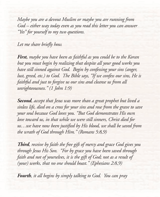*Maybe you are a devout Muslim or maybe you are running from God – either way today even as you read this letter you can answer "Yes" for yourself to my two questions.*

*Let me share briefly how.*

*First, maybe you have been as faithful as you could be to the Koran but you must begin by realizing that despite all your good works you have still sinned against God. Begin by confessing your sins (anger, lust, greed, etc.) to God. The Bible says, "If we confess our sins, He is faithful and just to forgive us our sins and cleanse us from all unrighteousness." (1 John 1:9)*

*Second, accept that Jesus was more than a great prophet but lived a sinless life, died on a cross for your sins and rose from the grave to save your soul because God loves you. "But God demonstrates His own love toward us, in that while we were still sinners, Christ died for us…we have now been justified by His blood, we shall be saved from the wrath of God through Him." (Romans 5:8,9)*

*Third, receive by faith the free gift of mercy and grace God gives you through Jesus His Son. "For by grace you have been saved through faith and not of yourselves, it is the gift of God; not as a result of (your) works, that no one should boast." (Ephesians 2:8,9)*

*Fourth, it all begins by simply talking to God. You can pray*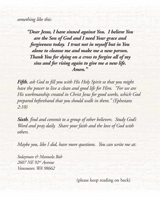*something like this:*

*"Dear Jesus, I have sinned against You. I believe You are the Son of God and I need Your grace and forgiveness today. I trust not in myself but in You alone to cleanse me and make me a new person. Thank You for dying on a cross to forgive all of my sins and for rising again to give me a new life. Amen."*

*Fifth, ask God to fill you with His Holy Spirit so that you might have the power to live a clean and good life for Him. "For we are His workmanship created in Christ Jesus for good works, which God prepared beforehand that you should walk in them." (Ephesians 2:10)*

*Sixth, find and commit to a group of other believers. Study God's Word and pray daily. Share your faith and the love of God with others.*

*Maybe you, like I did, have more questions. You can write me at:*

*Sulayman & Manuela Bah 2607 NE 92nd Avenue Vancouver, WA 98662*

(please keep reading on back)